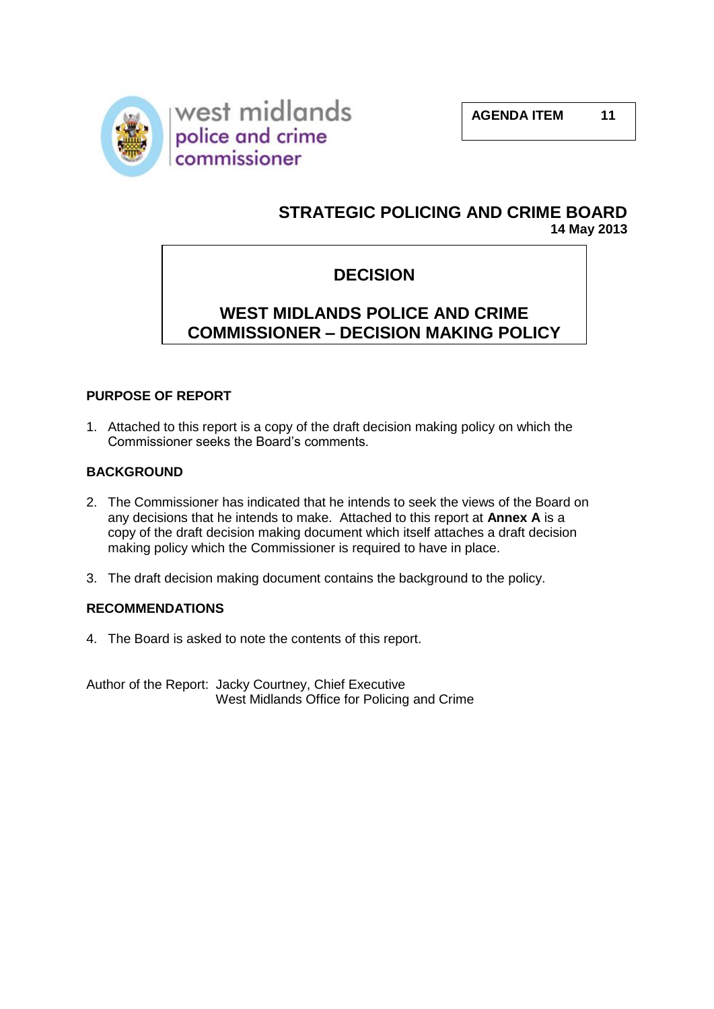

# **STRATEGIC POLICING AND CRIME BOARD 14 May 2013**

# **DECISION**

# **WEST MIDLANDS POLICE AND CRIME COMMISSIONER – DECISION MAKING POLICY**

# **PURPOSE OF REPORT**

1. Attached to this report is a copy of the draft decision making policy on which the Commissioner seeks the Board's comments.

## **BACKGROUND**

- 2. The Commissioner has indicated that he intends to seek the views of the Board on any decisions that he intends to make. Attached to this report at **Annex A** is a copy of the draft decision making document which itself attaches a draft decision making policy which the Commissioner is required to have in place.
- 3. The draft decision making document contains the background to the policy.

### **RECOMMENDATIONS**

4. The Board is asked to note the contents of this report.

Author of the Report: Jacky Courtney, Chief Executive West Midlands Office for Policing and Crime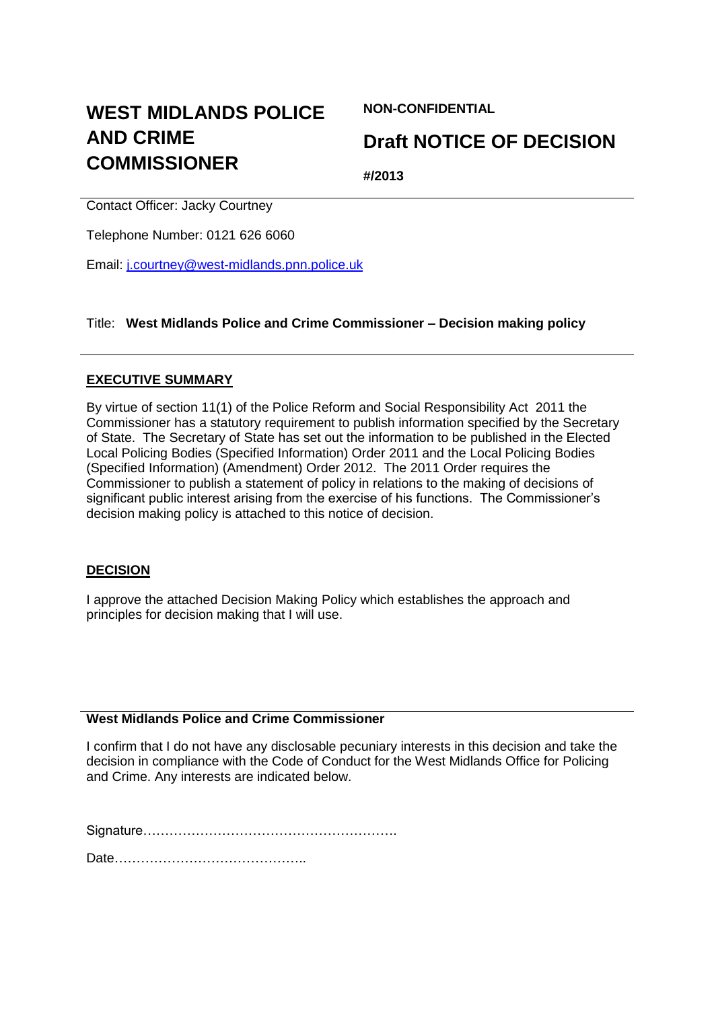# **WEST MIDLANDS POLICE AND CRIME COMMISSIONER**

**NON-CONFIDENTIAL**

# **Draft NOTICE OF DECISION**

**#/2013**

Contact Officer: Jacky Courtney

Telephone Number: 0121 626 6060

Email: [j.courtney@west-midlands.pnn.police.uk](mailto:j.courtney@west-midlands.pnn.police.uk)

Title: **West Midlands Police and Crime Commissioner – Decision making policy**

## **EXECUTIVE SUMMARY**

By virtue of section 11(1) of the Police Reform and Social Responsibility Act 2011 the Commissioner has a statutory requirement to publish information specified by the Secretary of State. The Secretary of State has set out the information to be published in the Elected Local Policing Bodies (Specified Information) Order 2011 and the Local Policing Bodies (Specified Information) (Amendment) Order 2012. The 2011 Order requires the Commissioner to publish a statement of policy in relations to the making of decisions of significant public interest arising from the exercise of his functions. The Commissioner's decision making policy is attached to this notice of decision.

# **DECISION**

I approve the attached Decision Making Policy which establishes the approach and principles for decision making that I will use.

# **West Midlands Police and Crime Commissioner**

I confirm that I do not have any disclosable pecuniary interests in this decision and take the decision in compliance with the Code of Conduct for the West Midlands Office for Policing and Crime. Any interests are indicated below.

Signature………………………………………………….

Date……………………………………..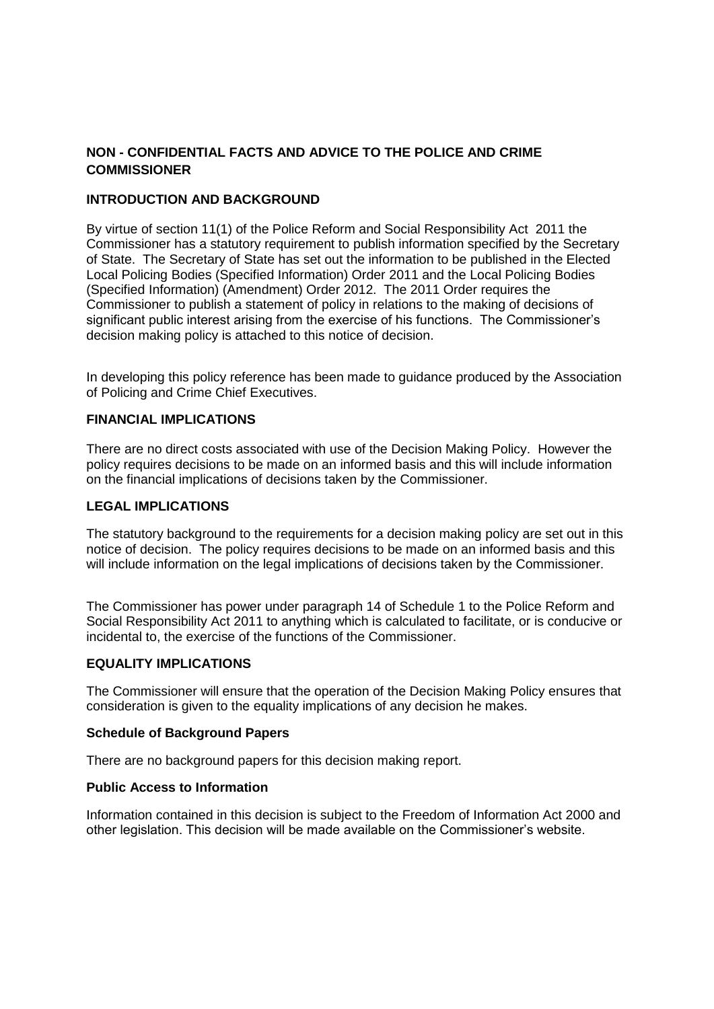## **NON - CONFIDENTIAL FACTS AND ADVICE TO THE POLICE AND CRIME COMMISSIONER**

### **INTRODUCTION AND BACKGROUND**

By virtue of section 11(1) of the Police Reform and Social Responsibility Act 2011 the Commissioner has a statutory requirement to publish information specified by the Secretary of State. The Secretary of State has set out the information to be published in the Elected Local Policing Bodies (Specified Information) Order 2011 and the Local Policing Bodies (Specified Information) (Amendment) Order 2012. The 2011 Order requires the Commissioner to publish a statement of policy in relations to the making of decisions of significant public interest arising from the exercise of his functions. The Commissioner's decision making policy is attached to this notice of decision.

In developing this policy reference has been made to guidance produced by the Association of Policing and Crime Chief Executives.

### **FINANCIAL IMPLICATIONS**

There are no direct costs associated with use of the Decision Making Policy. However the policy requires decisions to be made on an informed basis and this will include information on the financial implications of decisions taken by the Commissioner.

#### **LEGAL IMPLICATIONS**

The statutory background to the requirements for a decision making policy are set out in this notice of decision. The policy requires decisions to be made on an informed basis and this will include information on the legal implications of decisions taken by the Commissioner.

The Commissioner has power under paragraph 14 of Schedule 1 to the Police Reform and Social Responsibility Act 2011 to anything which is calculated to facilitate, or is conducive or incidental to, the exercise of the functions of the Commissioner.

### **EQUALITY IMPLICATIONS**

The Commissioner will ensure that the operation of the Decision Making Policy ensures that consideration is given to the equality implications of any decision he makes.

#### **Schedule of Background Papers**

There are no background papers for this decision making report.

#### **Public Access to Information**

Information contained in this decision is subject to the Freedom of Information Act 2000 and other legislation. This decision will be made available on the Commissioner's website.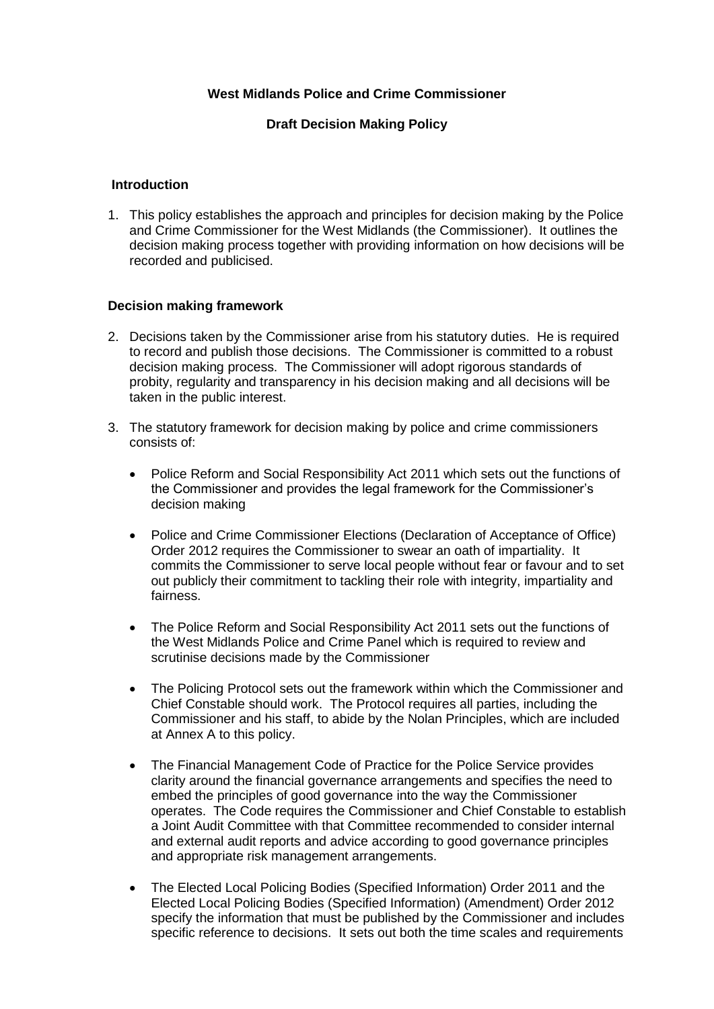#### **West Midlands Police and Crime Commissioner**

### **Draft Decision Making Policy**

#### **Introduction**

1. This policy establishes the approach and principles for decision making by the Police and Crime Commissioner for the West Midlands (the Commissioner). It outlines the decision making process together with providing information on how decisions will be recorded and publicised.

#### **Decision making framework**

- 2. Decisions taken by the Commissioner arise from his statutory duties. He is required to record and publish those decisions. The Commissioner is committed to a robust decision making process. The Commissioner will adopt rigorous standards of probity, regularity and transparency in his decision making and all decisions will be taken in the public interest.
- 3. The statutory framework for decision making by police and crime commissioners consists of:
	- Police Reform and Social Responsibility Act 2011 which sets out the functions of the Commissioner and provides the legal framework for the Commissioner's decision making
	- Police and Crime Commissioner Elections (Declaration of Acceptance of Office) Order 2012 requires the Commissioner to swear an oath of impartiality. It commits the Commissioner to serve local people without fear or favour and to set out publicly their commitment to tackling their role with integrity, impartiality and fairness.
	- The Police Reform and Social Responsibility Act 2011 sets out the functions of the West Midlands Police and Crime Panel which is required to review and scrutinise decisions made by the Commissioner
	- The Policing Protocol sets out the framework within which the Commissioner and Chief Constable should work. The Protocol requires all parties, including the Commissioner and his staff, to abide by the Nolan Principles, which are included at Annex A to this policy.
	- The Financial Management Code of Practice for the Police Service provides clarity around the financial governance arrangements and specifies the need to embed the principles of good governance into the way the Commissioner operates. The Code requires the Commissioner and Chief Constable to establish a Joint Audit Committee with that Committee recommended to consider internal and external audit reports and advice according to good governance principles and appropriate risk management arrangements.
	- The Elected Local Policing Bodies (Specified Information) Order 2011 and the Elected Local Policing Bodies (Specified Information) (Amendment) Order 2012 specify the information that must be published by the Commissioner and includes specific reference to decisions. It sets out both the time scales and requirements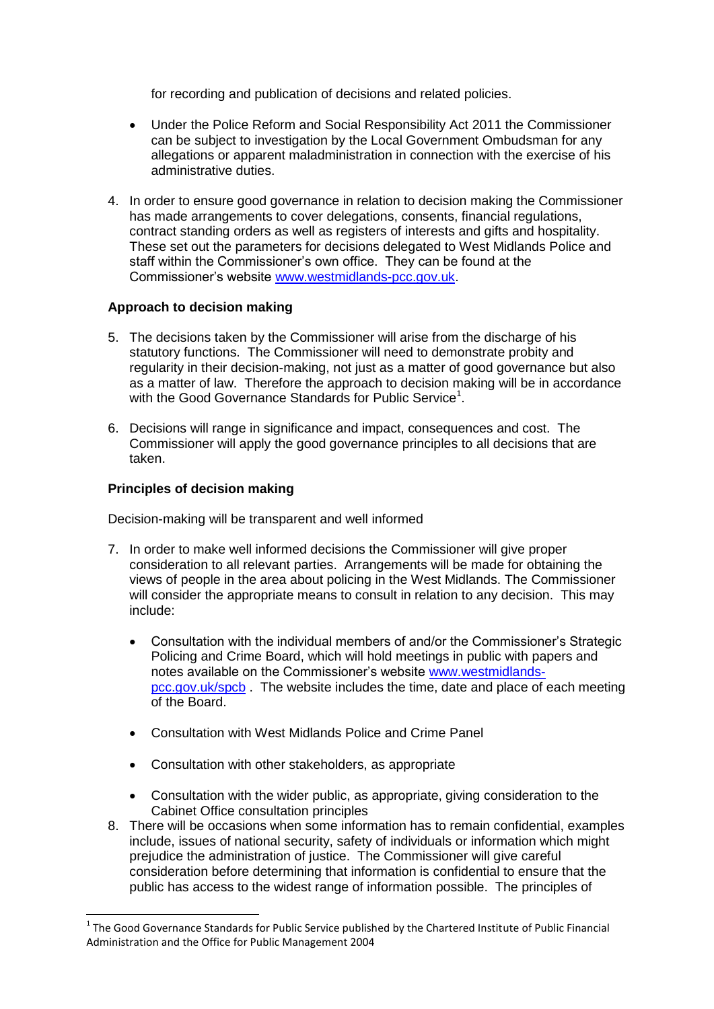for recording and publication of decisions and related policies.

- Under the Police Reform and Social Responsibility Act 2011 the Commissioner can be subject to investigation by the Local Government Ombudsman for any allegations or apparent maladministration in connection with the exercise of his administrative duties.
- 4. In order to ensure good governance in relation to decision making the Commissioner has made arrangements to cover delegations, consents, financial regulations, contract standing orders as well as registers of interests and gifts and hospitality. These set out the parameters for decisions delegated to West Midlands Police and staff within the Commissioner's own office. They can be found at the Commissioner's website [www.westmidlands-pcc.gov.uk.](http://www.westmidlands-pcc.gov.uk/)

#### **Approach to decision making**

- 5. The decisions taken by the Commissioner will arise from the discharge of his statutory functions. The Commissioner will need to demonstrate probity and regularity in their decision-making, not just as a matter of good governance but also as a matter of law. Therefore the approach to decision making will be in accordance with the Good Governance Standards for Public Service<sup>1</sup>.
- 6. Decisions will range in significance and impact, consequences and cost. The Commissioner will apply the good governance principles to all decisions that are taken.

### **Principles of decision making**

-

Decision-making will be transparent and well informed

- 7. In order to make well informed decisions the Commissioner will give proper consideration to all relevant parties. Arrangements will be made for obtaining the views of people in the area about policing in the West Midlands. The Commissioner will consider the appropriate means to consult in relation to any decision. This may include:
	- Consultation with the individual members of and/or the Commissioner's Strategic Policing and Crime Board, which will hold meetings in public with papers and notes available on the Commissioner's website [www.westmidlands](http://www.westmidlands-pcc.gov.uk/)[pcc.gov.uk/](http://www.westmidlands-pcc.gov.uk/)spcb. The website includes the time, date and place of each meeting of the Board.
	- Consultation with West Midlands Police and Crime Panel
	- Consultation with other stakeholders, as appropriate
	- Consultation with the wider public, as appropriate, giving consideration to the Cabinet Office consultation principles
- 8. There will be occasions when some information has to remain confidential, examples include, issues of national security, safety of individuals or information which might prejudice the administration of justice. The Commissioner will give careful consideration before determining that information is confidential to ensure that the public has access to the widest range of information possible. The principles of

 $1$  The Good Governance Standards for Public Service published by the Chartered Institute of Public Financial Administration and the Office for Public Management 2004